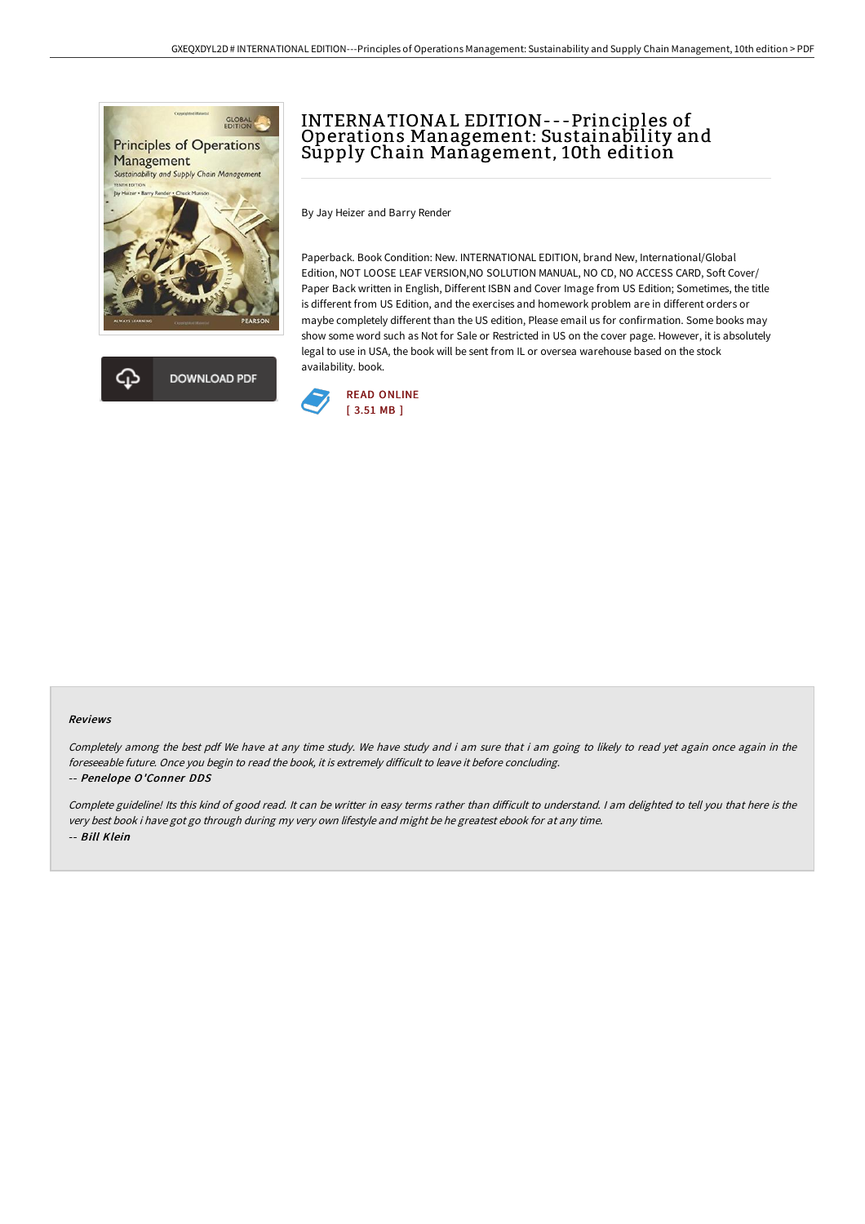



# INTERNA TIONA L EDITION---Principles of Operations Management: Sustainability and Sūpply Chain Mañagement, 10th edition

By Jay Heizer and Barry Render

Paperback. Book Condition: New. INTERNATIONAL EDITION, brand New, International/Global Edition, NOT LOOSE LEAF VERSION,NO SOLUTION MANUAL, NO CD, NO ACCESS CARD, Soft Cover/ Paper Back written in English, Different ISBN and Cover Image from US Edition; Sometimes, the title is different from US Edition, and the exercises and homework problem are in different orders or maybe completely different than the US edition, Please email us for confirmation. Some books may show some word such as Not for Sale or Restricted in US on the cover page. However, it is absolutely legal to use in USA, the book will be sent from IL or oversea warehouse based on the stock availability. book.



#### Reviews

Completely among the best pdf We have at any time study. We have study and i am sure that i am going to likely to read yet again once again in the foreseeable future. Once you begin to read the book, it is extremely difficult to leave it before concluding.

#### -- Penelope O'Conner DDS

Complete guideline! Its this kind of good read. It can be writter in easy terms rather than difficult to understand. I am delighted to tell you that here is the very best book i have got go through during my very own lifestyle and might be he greatest ebook for at any time. -- Bill Klein